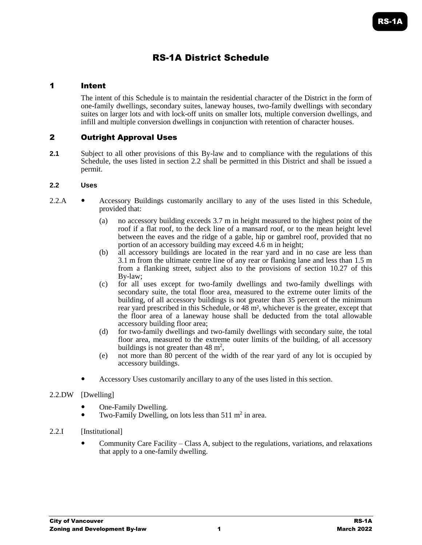# RS-1A District Schedule

## 1 Intent

The intent of this Schedule is to maintain the residential character of the District in the form of one-family dwellings, secondary suites, laneway houses, two-family dwellings with secondary suites on larger lots and with lock-off units on smaller lots, multiple conversion dwellings, and infill and multiple conversion dwellings in conjunction with retention of character houses.

## 2 Outright Approval Uses

**2.1** Subject to all other provisions of this By-law and to compliance with the regulations of this Schedule, the uses listed in section 2.2 shall be permitted in this District and shall be issued a permit.

## **2.2 Uses**

- 2.2.A Accessory Buildings customarily ancillary to any of the uses listed in this Schedule, provided that:
	- (a) no accessory building exceeds 3.7 m in height measured to the highest point of the roof if a flat roof, to the deck line of a mansard roof, or to the mean height level between the eaves and the ridge of a gable, hip or gambrel roof, provided that no portion of an accessory building may exceed 4.6 m in height;
	- (b) all accessory buildings are located in the rear yard and in no case are less than 3.1 m from the ultimate centre line of any rear or flanking lane and less than 1.5 m from a flanking street, subject also to the provisions of section 10.27 of this By-law;
	- (c) for all uses except for two-family dwellings and two-family dwellings with secondary suite, the total floor area, measured to the extreme outer limits of the building, of all accessory buildings is not greater than 35 percent of the minimum rear yard prescribed in this Schedule, or 48 m², whichever is the greater, except that the floor area of a laneway house shall be deducted from the total allowable accessory building floor area;
	- (d) for two-family dwellings and two-family dwellings with secondary suite, the total floor area, measured to the extreme outer limits of the building, of all accessory buildings is not greater than  $48 \text{ m}^2$ ,
	- (e) not more than 80 percent of the width of the rear yard of any lot is occupied by accessory buildings.
	- Accessory Uses customarily ancillary to any of the uses listed in this section.

## 2.2.DW [Dwelling]

- One-Family Dwelling.
- Two-Family Dwelling, on lots less than  $511 \text{ m}^2$  in area.
- 2.2.I [Institutional]
	- Community Care Facility Class A, subject to the regulations, variations, and relaxations that apply to a one-family dwelling.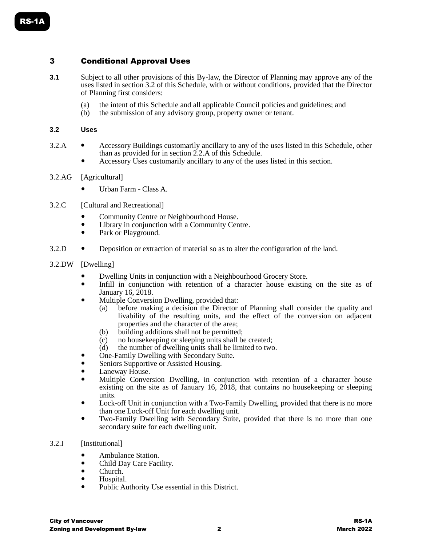# 3 Conditional Approval Uses

- **3.1** Subject to all other provisions of this By-law, the Director of Planning may approve any of the uses listed in section 3.2 of this Schedule, with or without conditions, provided that the Director of Planning first considers:
	- (a) the intent of this Schedule and all applicable Council policies and guidelines; and
	- (b) the submission of any advisory group, property owner or tenant.

#### **3.2 Uses**

- 3.2.A Accessory Buildings customarily ancillary to any of the uses listed in this Schedule, other than as provided for in section 2.2.A of this Schedule.
	- Accessory Uses customarily ancillary to any of the uses listed in this section.

#### 3.2.AG [Agricultural]

- Urban Farm Class A.
- 3.2.C [Cultural and Recreational]
	- Community Centre or Neighbourhood House.
	- Library in conjunction with a Community Centre.
	- Park or Playground.
- 3.2.D Deposition or extraction of material so as to alter the configuration of the land.
- 3.2.DW [Dwelling]
	- Dwelling Units in conjunction with a Neighbourhood Grocery Store.
	- Infill in conjunction with retention of a character house existing on the site as of January 16, 2018.
	- Multiple Conversion Dwelling, provided that:
		- (a) before making a decision the Director of Planning shall consider the quality and livability of the resulting units, and the effect of the conversion on adjacent properties and the character of the area;
		- (b) building additions shall not be permitted;
		- (c) no house keeping or sleeping units shall be created;<br>(d) the number of dwelling units shall be limited to two
		- the number of dwelling units shall be limited to two.
	- One-Family Dwelling with Secondary Suite.
	- Seniors Supportive or Assisted Housing.
	- Laneway House.
	- Multiple Conversion Dwelling, in conjunction with retention of a character house existing on the site as of January 16, 2018, that contains no housekeeping or sleeping units.
	- Lock-off Unit in conjunction with a Two-Family Dwelling, provided that there is no more than one Lock-off Unit for each dwelling unit.
	- Two-Family Dwelling with Secondary Suite, provided that there is no more than one secondary suite for each dwelling unit.

## 3.2.I [Institutional]

- Ambulance Station.
- Child Day Care Facility.
- Church.<br>• Hospital
- Hospital.
- Public Authority Use essential in this District.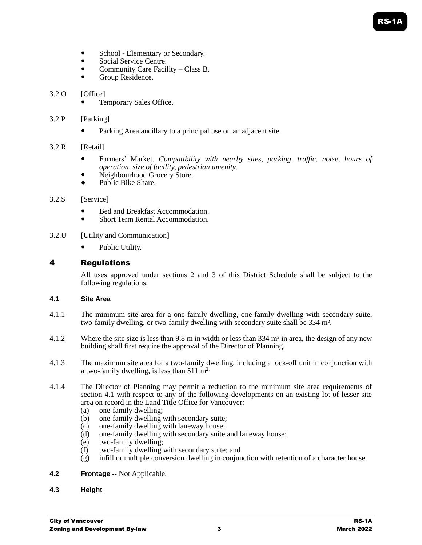# RS-1A

- School Elementary or Secondary.
- Social Service Centre.
- Community Care Facility Class B.
- Group Residence.
- 3.2.O [Office]
	- Temporary Sales Office.

## 3.2.P [Parking]

Parking Area ancillary to a principal use on an adjacent site.

## 3.2.R [Retail]

- Farmers' Market. *Compatibility with nearby sites, parking, traffic, noise, hours of operation, size of facility, pedestrian amenity*.
- Neighbourhood Grocery Store.
- Public Bike Share.

## 3.2.S [Service]

- Bed and Breakfast Accommodation.
- Short Term Rental Accommodation.
- 3.2.U [Utility and Communication]
	- Public Utility.

## 4 Regulations

All uses approved under sections 2 and 3 of this District Schedule shall be subject to the following regulations:

## **4.1 Site Area**

- 4.1.1 The minimum site area for a one-family dwelling, one-family dwelling with secondary suite, two-family dwelling, or two-family dwelling with secondary suite shall be 334 m².
- 4.1.2 Where the site size is less than 9.8 m in width or less than  $334 \text{ m}^2$  in area, the design of any new building shall first require the approval of the Director of Planning.
- 4.1.3 The maximum site area for a two-family dwelling, including a lock-off unit in conjunction with a two-family dwelling, is less than  $511 \text{ m}^2$ .
- 4.1.4 The Director of Planning may permit a reduction to the minimum site area requirements of section 4.1 with respect to any of the following developments on an existing lot of lesser site area on record in the Land Title Office for Vancouver:
	- (a) one-family dwelling;
	- (b) one-family dwelling with secondary suite;
	- (c) one-family dwelling with laneway house;
	- (d) one-family dwelling with secondary suite and laneway house;
	- (e) two-family dwelling;
	- (f) two-family dwelling with secondary suite; and
	- (g) infill or multiple conversion dwelling in conjunction with retention of a character house.

## **4.2 Frontage --** Not Applicable.

**4.3 Height**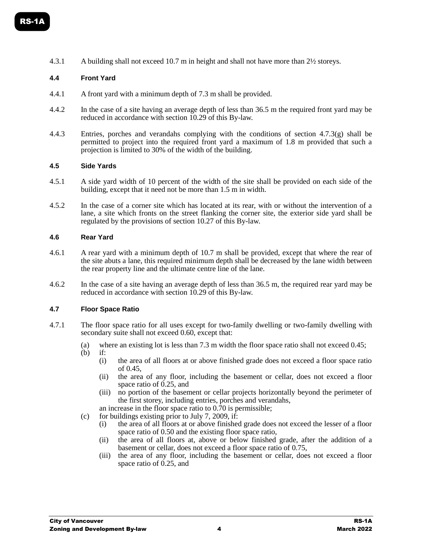4.3.1 A building shall not exceed 10.7 m in height and shall not have more than 2½ storeys.

#### **4.4 Front Yard**

- 4.4.1 A front yard with a minimum depth of 7.3 m shall be provided.
- 4.4.2 In the case of a site having an average depth of less than 36.5 m the required front yard may be reduced in accordance with section 10.29 of this By-law.
- 4.4.3 Entries, porches and verandahs complying with the conditions of section 4.7.3(g) shall be permitted to project into the required front yard a maximum of 1.8 m provided that such a projection is limited to 30% of the width of the building.

#### **4.5 Side Yards**

- 4.5.1 A side yard width of 10 percent of the width of the site shall be provided on each side of the building, except that it need not be more than 1.5 m in width.
- 4.5.2 In the case of a corner site which has located at its rear, with or without the intervention of a lane, a site which fronts on the street flanking the corner site, the exterior side yard shall be regulated by the provisions of section 10.27 of this By-law.

#### **4.6 Rear Yard**

- 4.6.1 A rear yard with a minimum depth of 10.7 m shall be provided, except that where the rear of the site abuts a lane, this required minimum depth shall be decreased by the lane width between the rear property line and the ultimate centre line of the lane.
- 4.6.2 In the case of a site having an average depth of less than 36.5 m, the required rear yard may be reduced in accordance with section 10.29 of this By-law.

#### **4.7 Floor Space Ratio**

- 4.7.1 The floor space ratio for all uses except for two-family dwelling or two-family dwelling with secondary suite shall not exceed 0.60, except that:
	- (a) where an existing lot is less than 7.3 m width the floor space ratio shall not exceed 0.45;
	- (b) if:
		- (i) the area of all floors at or above finished grade does not exceed a floor space ratio of 0.45,
		- (ii) the area of any floor, including the basement or cellar, does not exceed a floor space ratio of 0.25, and
		- (iii) no portion of the basement or cellar projects horizontally beyond the perimeter of the first storey, including entries, porches and verandahs,
		- an increase in the floor space ratio to 0.70 is permissible;
	- (c) for buildings existing prior to July 7, 2009, if:
		- (i) the area of all floors at or above finished grade does not exceed the lesser of a floor space ratio of 0.50 and the existing floor space ratio,
		- (ii) the area of all floors at, above or below finished grade, after the addition of a basement or cellar, does not exceed a floor space ratio of 0.75,
		- (iii) the area of any floor, including the basement or cellar, does not exceed a floor space ratio of 0.25, and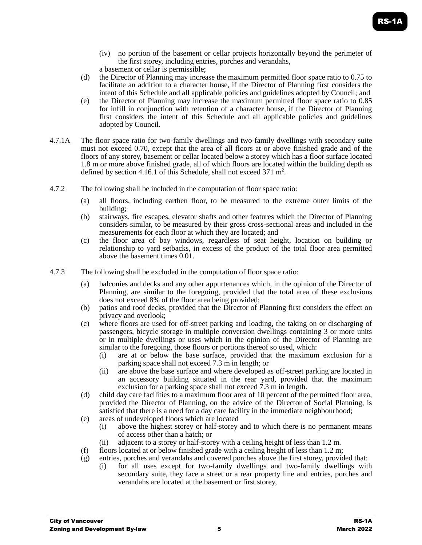- (iv) no portion of the basement or cellar projects horizontally beyond the perimeter of the first storey, including entries, porches and verandahs, a basement or cellar is permissible;
- (d) the Director of Planning may increase the maximum permitted floor space ratio to 0.75 to facilitate an addition to a character house, if the Director of Planning first considers the intent of this Schedule and all applicable policies and guidelines adopted by Council; and
- (e) the Director of Planning may increase the maximum permitted floor space ratio to 0.85 for infill in conjunction with retention of a character house, if the Director of Planning first considers the intent of this Schedule and all applicable policies and guidelines adopted by Council.
- 4.7.1A The floor space ratio for two-family dwellings and two-family dwellings with secondary suite must not exceed 0.70, except that the area of all floors at or above finished grade and of the floors of any storey, basement or cellar located below a storey which has a floor surface located 1.8 m or more above finished grade, all of which floors are located within the building depth as defined by section 4.16.1 of this Schedule, shall not exceed  $371 \text{ m}^2$ .
- 4.7.2 The following shall be included in the computation of floor space ratio:
	- (a) all floors, including earthen floor, to be measured to the extreme outer limits of the building;
	- (b) stairways, fire escapes, elevator shafts and other features which the Director of Planning considers similar, to be measured by their gross cross-sectional areas and included in the measurements for each floor at which they are located; and
	- (c) the floor area of bay windows, regardless of seat height, location on building or relationship to yard setbacks, in excess of the product of the total floor area permitted above the basement times 0.01.
- 4.7.3 The following shall be excluded in the computation of floor space ratio:
	- (a) balconies and decks and any other appurtenances which, in the opinion of the Director of Planning, are similar to the foregoing, provided that the total area of these exclusions does not exceed 8% of the floor area being provided;
	- (b) patios and roof decks, provided that the Director of Planning first considers the effect on privacy and overlook;
	- (c) where floors are used for off-street parking and loading, the taking on or discharging of passengers, bicycle storage in multiple conversion dwellings containing 3 or more units or in multiple dwellings or uses which in the opinion of the Director of Planning are similar to the foregoing, those floors or portions thereof so used, which:
		- (i) are at or below the base surface, provided that the maximum exclusion for a parking space shall not exceed 7.3 m in length; or
		- (ii) are above the base surface and where developed as off-street parking are located in an accessory building situated in the rear yard, provided that the maximum exclusion for a parking space shall not exceed 7.3 m in length.
	- (d) child day care facilities to a maximum floor area of 10 percent of the permitted floor area, provided the Director of Planning, on the advice of the Director of Social Planning, is satisfied that there is a need for a day care facility in the immediate neighbourhood;
	- (e) areas of undeveloped floors which are located
		- (i) above the highest storey or half-storey and to which there is no permanent means of access other than a hatch; or
		- (ii) adjacent to a storey or half-storey with a ceiling height of less than 1.2 m.
	- (f) floors located at or below finished grade with a ceiling height of less than  $1.2 \text{ m}$ ;
	- (g) entries, porches and verandahs and covered porches above the first storey, provided that:
		- (i) for all uses except for two-family dwellings and two-family dwellings with secondary suite, they face a street or a rear property line and entries, porches and verandahs are located at the basement or first storey,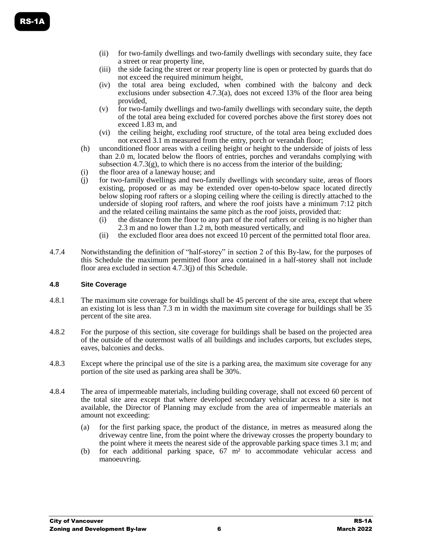- (ii) for two-family dwellings and two-family dwellings with secondary suite, they face a street or rear property line,
- (iii) the side facing the street or rear property line is open or protected by guards that do not exceed the required minimum height,
- (iv) the total area being excluded, when combined with the balcony and deck exclusions under subsection 4.7.3(a), does not exceed 13% of the floor area being provided,
- (v) for two-family dwellings and two-family dwellings with secondary suite, the depth of the total area being excluded for covered porches above the first storey does not exceed 1.83 m, and
- (vi) the ceiling height, excluding roof structure, of the total area being excluded does not exceed 3.1 m measured from the entry, porch or verandah floor;
- (h) unconditioned floor areas with a ceiling height or height to the underside of joists of less than 2.0 m, located below the floors of entries, porches and verandahs complying with subsection  $4.7.3(g)$ , to which there is no access from the interior of the building;
- (i) the floor area of a laneway house; and
- (j) for two-family dwellings and two-family dwellings with secondary suite, areas of floors existing, proposed or as may be extended over open-to-below space located directly below sloping roof rafters or a sloping ceiling where the ceiling is directly attached to the underside of sloping roof rafters, and where the roof joists have a minimum 7:12 pitch and the related ceiling maintains the same pitch as the roof joists, provided that:
	- (i) the distance from the floor to any part of the roof rafters or ceiling is no higher than 2.3 m and no lower than 1.2 m, both measured vertically, and
	- (ii) the excluded floor area does not exceed 10 percent of the permitted total floor area.
- 4.7.4 Notwithstanding the definition of "half-storey" in section 2 of this By-law, for the purposes of this Schedule the maximum permitted floor area contained in a half-storey shall not include floor area excluded in section 4.7.3(j) of this Schedule.

## **4.8 Site Coverage**

- 4.8.1 The maximum site coverage for buildings shall be 45 percent of the site area, except that where an existing lot is less than 7.3 m in width the maximum site coverage for buildings shall be 35 percent of the site area.
- 4.8.2 For the purpose of this section, site coverage for buildings shall be based on the projected area of the outside of the outermost walls of all buildings and includes carports, but excludes steps, eaves, balconies and decks.
- 4.8.3 Except where the principal use of the site is a parking area, the maximum site coverage for any portion of the site used as parking area shall be 30%.
- 4.8.4 The area of impermeable materials, including building coverage, shall not exceed 60 percent of the total site area except that where developed secondary vehicular access to a site is not available, the Director of Planning may exclude from the area of impermeable materials an amount not exceeding:
	- (a) for the first parking space, the product of the distance, in metres as measured along the driveway centre line, from the point where the driveway crosses the property boundary to the point where it meets the nearest side of the approvable parking space times 3.1 m; and
	- (b) for each additional parking space, 67 m² to accommodate vehicular access and manoeuvring.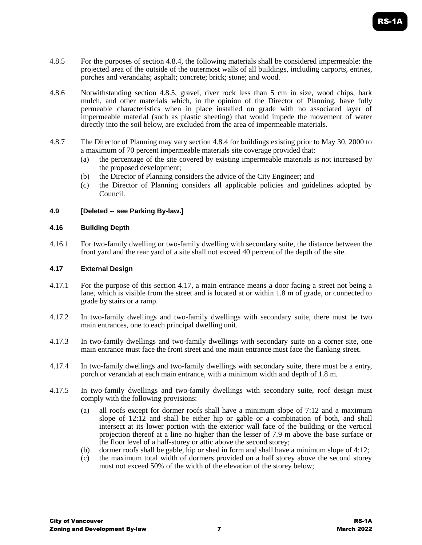- 4.8.5 For the purposes of section 4.8.4, the following materials shall be considered impermeable: the projected area of the outside of the outermost walls of all buildings, including carports, entries, porches and verandahs; asphalt; concrete; brick; stone; and wood.
- 4.8.6 Notwithstanding section 4.8.5, gravel, river rock less than 5 cm in size, wood chips, bark mulch, and other materials which, in the opinion of the Director of Planning, have fully permeable characteristics when in place installed on grade with no associated layer of impermeable material (such as plastic sheeting) that would impede the movement of water directly into the soil below, are excluded from the area of impermeable materials.
- 4.8.7 The Director of Planning may vary section 4.8.4 for buildings existing prior to May 30, 2000 to a maximum of 70 percent impermeable materials site coverage provided that:
	- (a) the percentage of the site covered by existing impermeable materials is not increased by the proposed development;
	- (b) the Director of Planning considers the advice of the City Engineer; and
	- (c) the Director of Planning considers all applicable policies and guidelines adopted by Council.

## **4.9 [Deleted -- see Parking By-law.]**

## **4.16 Building Depth**

4.16.1 For two-family dwelling or two-family dwelling with secondary suite, the distance between the front yard and the rear yard of a site shall not exceed 40 percent of the depth of the site.

## **4.17 External Design**

- 4.17.1 For the purpose of this section 4.17, a main entrance means a door facing a street not being a lane, which is visible from the street and is located at or within 1.8 m of grade, or connected to grade by stairs or a ramp.
- 4.17.2 In two-family dwellings and two-family dwellings with secondary suite, there must be two main entrances, one to each principal dwelling unit.
- 4.17.3 In two-family dwellings and two-family dwellings with secondary suite on a corner site, one main entrance must face the front street and one main entrance must face the flanking street.
- 4.17.4 In two-family dwellings and two-family dwellings with secondary suite, there must be a entry, porch or verandah at each main entrance, with a minimum width and depth of 1.8 m.
- 4.17.5 In two-family dwellings and two-family dwellings with secondary suite, roof design must comply with the following provisions:
	- (a) all roofs except for dormer roofs shall have a minimum slope of 7:12 and a maximum slope of 12:12 and shall be either hip or gable or a combination of both, and shall intersect at its lower portion with the exterior wall face of the building or the vertical projection thereof at a line no higher than the lesser of 7.9 m above the base surface or the floor level of a half-storey or attic above the second storey;
	- (b) dormer roofs shall be gable, hip or shed in form and shall have a minimum slope of 4:12;
	- (c) the maximum total width of dormers provided on a half storey above the second storey must not exceed 50% of the width of the elevation of the storey below;